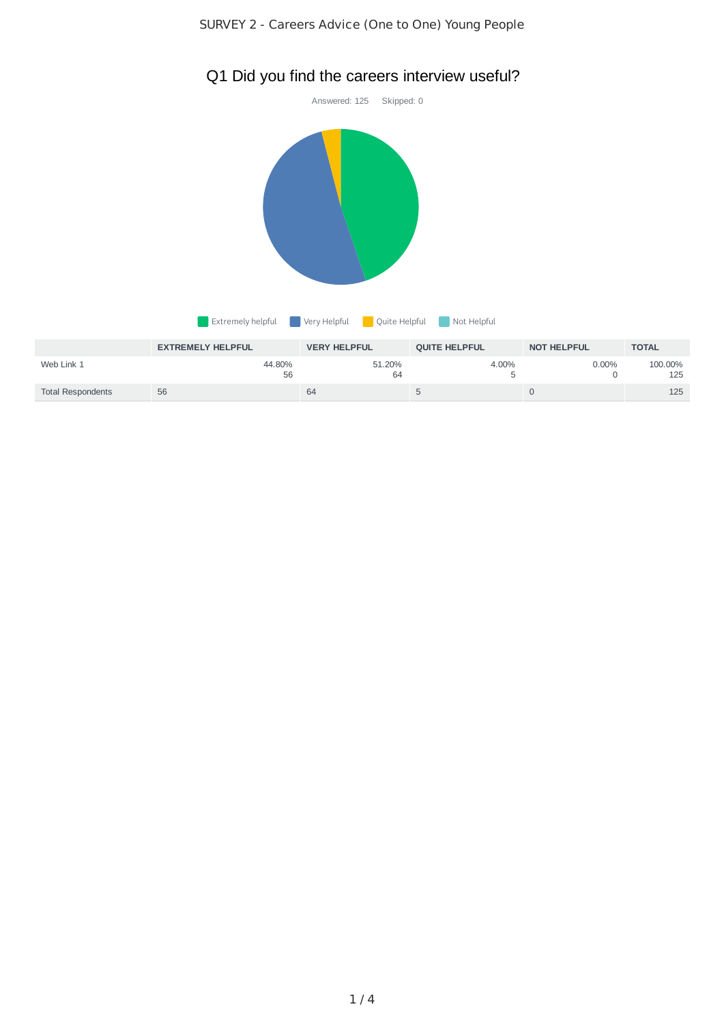

# Q1 Did you find the careers interview useful?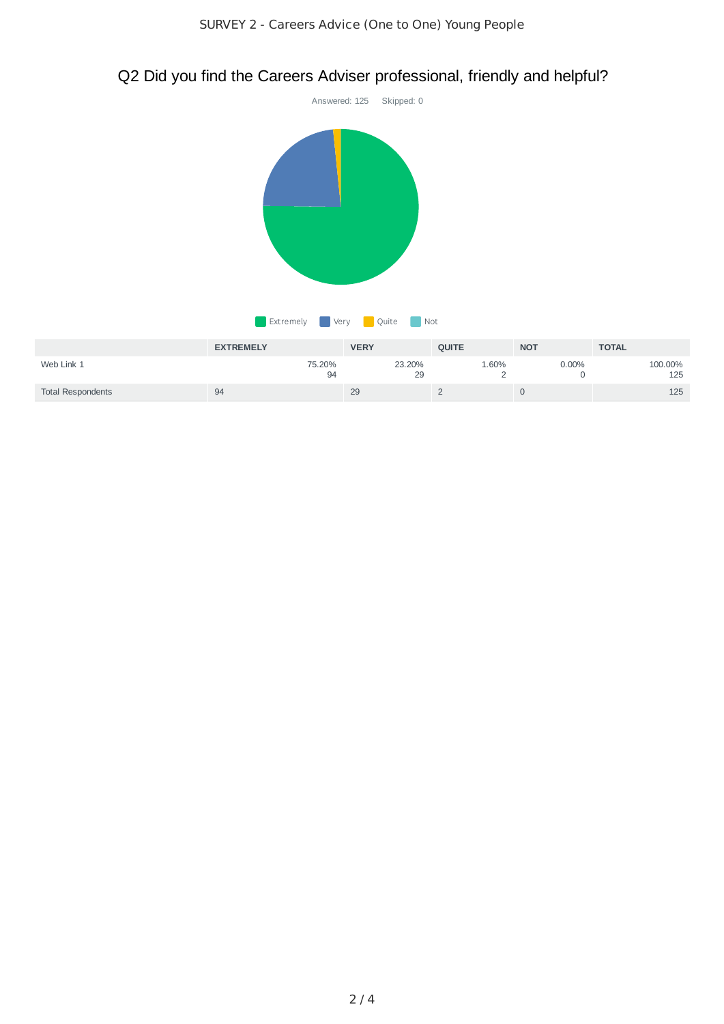

# Q2 Did you find the Careers Adviser professional, friendly and helpful?

|                          | <b>EXTREMELY</b> | <b>VERY</b>  | <b>OUITE</b> | <b>NOT</b> | <b>TOTAL</b>   |
|--------------------------|------------------|--------------|--------------|------------|----------------|
| Web Link 1               | 75.20%<br>94     | 23.20%<br>29 | 1.60%        | 0.00%      | 100.00%<br>125 |
| <b>Total Respondents</b> | 94               | 29           |              |            | 125            |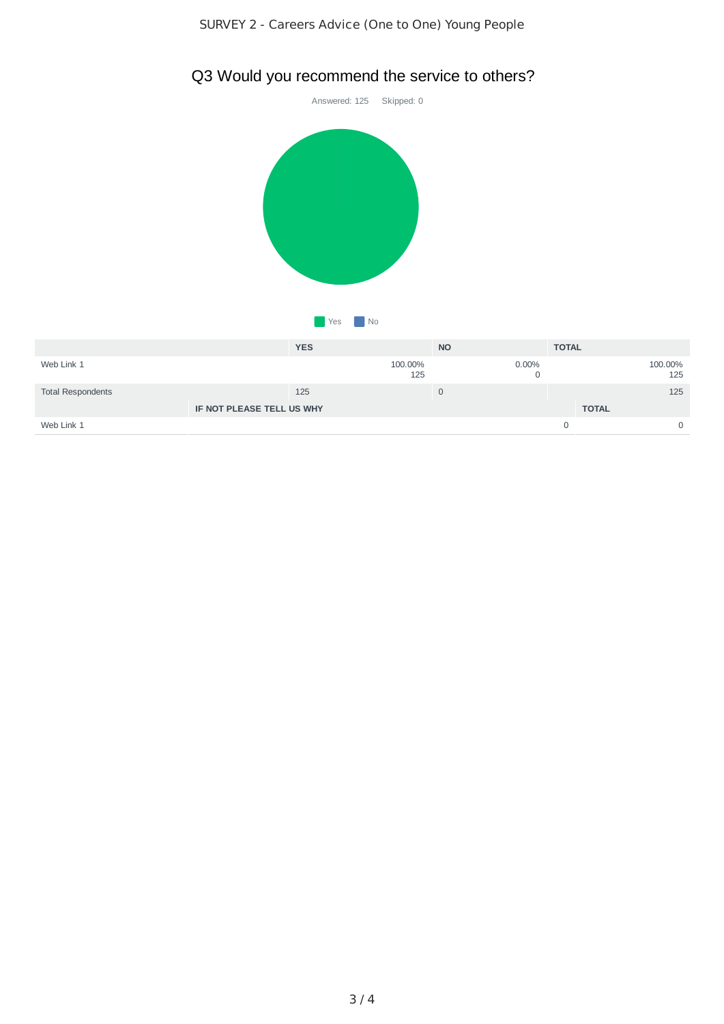# Answered: 125 Skipped: 0 **No** Yes **No**

# Q3 Would you recommend the service to others?

|                           | <b>YES</b>   | <b>NO</b> |          | <b>TOTAL</b> |                |
|---------------------------|--------------|-----------|----------|--------------|----------------|
| Web Link 1                | 100.00%      | 125       | $0.00\%$ |              | 100.00%<br>125 |
| <b>Total Respondents</b>  | 125          | U         |          |              | 125            |
| IF NOT PLEASE TELL US WHY | <b>TOTAL</b> |           |          |              |                |
| Web Link 1                |              |           |          |              | 0              |